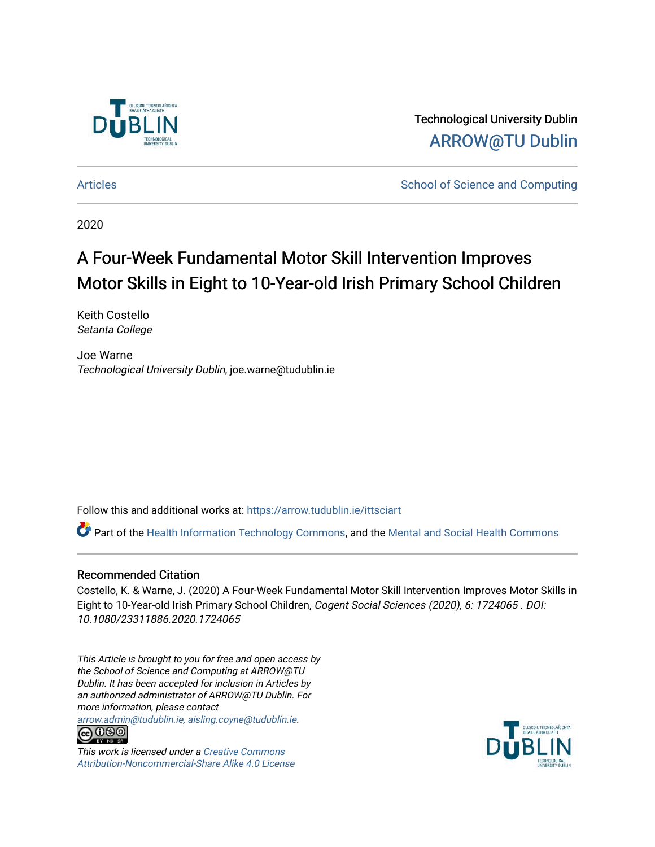

Technological University Dublin [ARROW@TU Dublin](https://arrow.tudublin.ie/) 

[Articles](https://arrow.tudublin.ie/ittsciart) **School of Science and Computing**  $\sim$  School of Science and Computing

2020

# A Four-Week Fundamental Motor Skill Intervention Improves Motor Skills in Eight to 10-Year-old Irish Primary School Children

Keith Costello Setanta College

Joe Warne Technological University Dublin, joe.warne@tudublin.ie

Follow this and additional works at: [https://arrow.tudublin.ie/ittsciart](https://arrow.tudublin.ie/ittsciart?utm_source=arrow.tudublin.ie%2Fittsciart%2F64&utm_medium=PDF&utm_campaign=PDFCoverPages)

Part of the [Health Information Technology Commons,](http://network.bepress.com/hgg/discipline/1239?utm_source=arrow.tudublin.ie%2Fittsciart%2F64&utm_medium=PDF&utm_campaign=PDFCoverPages) and the [Mental and Social Health Commons](http://network.bepress.com/hgg/discipline/709?utm_source=arrow.tudublin.ie%2Fittsciart%2F64&utm_medium=PDF&utm_campaign=PDFCoverPages) 

## Recommended Citation

Costello, K. & Warne, J. (2020) A Four-Week Fundamental Motor Skill Intervention Improves Motor Skills in Eight to 10-Year-old Irish Primary School Children, Cogent Social Sciences (2020), 6: 1724065 . DOI: 10.1080/23311886.2020.1724065

This Article is brought to you for free and open access by the School of Science and Computing at ARROW@TU Dublin. It has been accepted for inclusion in Articles by an authorized administrator of ARROW@TU Dublin. For more information, please contact

[arrow.admin@tudublin.ie, aisling.coyne@tudublin.ie](mailto:arrow.admin@tudublin.ie,%20aisling.coyne@tudublin.ie).<br> **@** 0©©



This work is licensed under a [Creative Commons](http://creativecommons.org/licenses/by-nc-sa/4.0/) [Attribution-Noncommercial-Share Alike 4.0 License](http://creativecommons.org/licenses/by-nc-sa/4.0/)

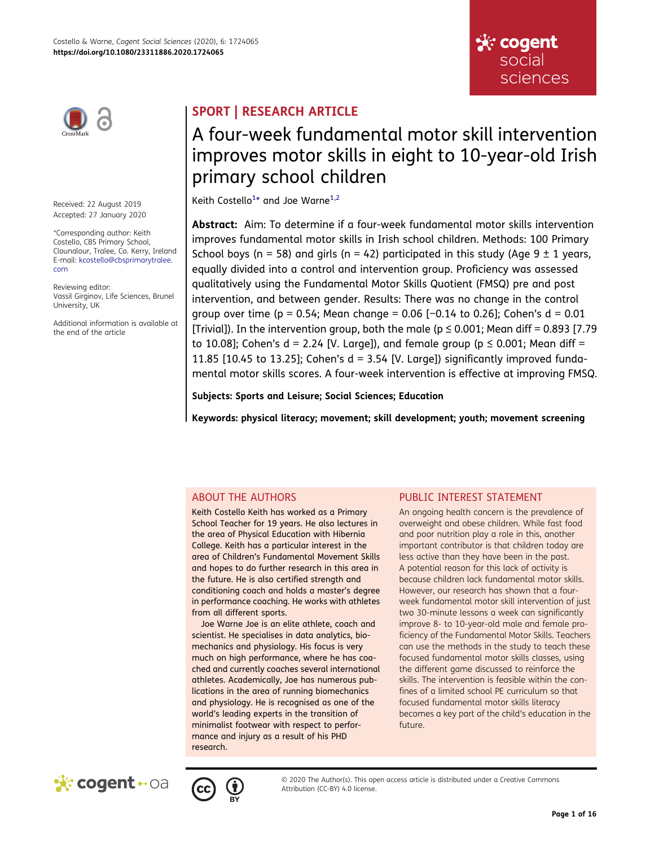

Received: 22 August 2019 Accepted: 27 January 2020

\*Corresponding author: Keith Costello, CBS Primary School, Clounalour, Tralee, Co. Kerry, Ireland E-mail: kcostello@cbsprimarytralee. com

Reviewing editor: Vassil Girginov, Life Sciences, Brunel University, UK

Additional information is available at the end of the article

# SPORT | RESEARCH ARTICLE

# A four-week fundamental motor skill intervention improves motor skills in eight to 10-year-old Irish primary school children

<span id="page-1-0"></span>Keith Costello<sup>1</sup>\* and Joe Warne<sup>1,[2](#page-14-0)</sup>

Abstract: Aim: To determine if a four-week fundamental motor skills intervention improves fundamental motor skills in Irish school children. Methods: 100 Primary School boys (n = 58) and girls (n = 42) participated in this study (Age  $9 \pm 1$  years, equally divided into a control and intervention group. Proficiency was assessed qualitatively using the Fundamental Motor Skills Quotient (FMSQ) pre and post intervention, and between gender. Results: There was no change in the control group over time (p = 0.54; Mean change = 0.06 [-0.14 to 0.26]; Cohen's  $d = 0.01$ [Trivial]). In the intervention group, both the male ( $p \le 0.001$ ; Mean diff = 0.893 [7.79 to 10.08]; Cohen's  $d = 2.24$  [V. Large]), and female group ( $p \le 0.001$ ; Mean diff = 11.85 [10.45 to 13.25]; Cohen's  $d = 3.54$  [V. Large]) significantly improved fundamental motor skills scores. A four-week intervention is effective at improving FMSQ.

Subjects: Sports and Leisure; Social Sciences; Education

Keywords: physical literacy; movement; skill development; youth; movement screening

## ABOUT THE AUTHORS

Keith Costello Keith has worked as a Primary School Teacher for 19 years. He also lectures in the area of Physical Education with Hibernia College. Keith has a particular interest in the area of Children's Fundamental Movement Skills and hopes to do further research in this area in the future. He is also certified strength and conditioning coach and holds a master's degree in performance coaching. He works with athletes from all different sports.

Joe Warne Joe is an elite athlete, coach and scientist. He specialises in data analytics, biomechanics and physiology. His focus is very much on high performance, where he has coached and currently coaches several international athletes. Academically, Joe has numerous publications in the area of running biomechanics and physiology. He is recognised as one of the world's leading experts in the transition of minimalist footwear with respect to performance and injury as a result of his PHD research.

## PUBLIC INTEREST STATEMENT

An ongoing health concern is the prevalence of overweight and obese children. While fast food and poor nutrition play a role in this, another important contributor is that children today are less active than they have been in the past. A potential reason for this lack of activity is because children lack fundamental motor skills. However, our research has shown that a fourweek fundamental motor skill intervention of just two 30-minute lessons a week can significantly improve 8- to 10-year-old male and female proficiency of the Fundamental Motor Skills. Teachers can use the methods in the study to teach these focused fundamental motor skills classes, using the different game discussed to reinforce the skills. The intervention is feasible within the confines of a limited school PE curriculum so that focused fundamental motor skills literacy becomes a key part of the child's education in the future.

☆ cogent social

sciences





© 2020 The Author(s). This open access article is distributed under a Creative Commons Attribution (CC-BY) 4.0 license.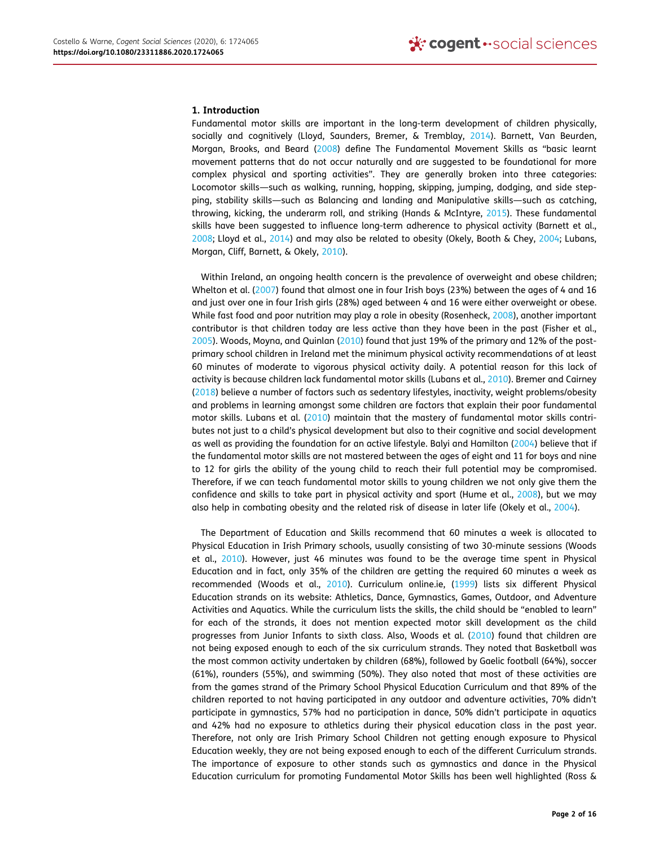#### 1. Introduction

Fundamental motor skills are important in the long-term development of children physically, socially and cognitively (Lloyd, Saunders, Bremer, & Tremblay, [2014](#page-15-0)). Barnett, Van Beurden, Morgan, Brooks, and Beard [\(2008](#page-14-1)) define The Fundamental Movement Skills as "basic learnt movement patterns that do not occur naturally and are suggested to be foundational for more complex physical and sporting activities". They are generally broken into three categories: Locomotor skills—such as walking, running, hopping, skipping, jumping, dodging, and side stepping, stability skills—such as Balancing and landing and Manipulative skills—such as catching, throwing, kicking, the underarm roll, and striking (Hands & McIntyre, [2015](#page-15-1)). These fundamental skills have been suggested to influence long-term adherence to physical activity (Barnett et al., [2008](#page-14-1); Lloyd et al., [2014](#page-15-0)) and may also be related to obesity (Okely, Booth & Chey, [2004;](#page-15-2) Lubans, Morgan, Cliff, Barnett, & Okely, [2010](#page-15-3)).

<span id="page-2-12"></span><span id="page-2-10"></span><span id="page-2-6"></span><span id="page-2-4"></span><span id="page-2-3"></span><span id="page-2-2"></span><span id="page-2-1"></span>Within Ireland, an ongoing health concern is the prevalence of overweight and obese children; Whelton et al. [\(2007\)](#page-15-4) found that almost one in four Irish boys (23%) between the ages of 4 and 16 and just over one in four Irish girls (28%) aged between 4 and 16 were either overweight or obese. While fast food and poor nutrition may play a role in obesity (Rosenheck, [2008](#page-15-5)), another important contributor is that children today are less active than they have been in the past (Fisher et al., [2005](#page-15-6)). Woods, Moyna, and Quinlan ([2010](#page-15-7)) found that just 19% of the primary and 12% of the postprimary school children in Ireland met the minimum physical activity recommendations of at least 60 minutes of moderate to vigorous physical activity daily. A potential reason for this lack of activity is because children lack fundamental motor skills (Lubans et al., [2010\)](#page-15-3). Bremer and Cairney ([2018](#page-14-2)) believe a number of factors such as sedentary lifestyles, inactivity, weight problems/obesity and problems in learning amongst some children are factors that explain their poor fundamental motor skills. Lubans et al. ([2010](#page-15-3)) maintain that the mastery of fundamental motor skills contributes not just to a child's physical development but also to their cognitive and social development as well as providing the foundation for an active lifestyle. Balyi and Hamilton ([2004](#page-14-3)) believe that if the fundamental motor skills are not mastered between the ages of eight and 11 for boys and nine to 12 for girls the ability of the young child to reach their full potential may be compromised. Therefore, if we can teach fundamental motor skills to young children we not only give them the confidence and skills to take part in physical activity and sport (Hume et al., [2008](#page-15-8)), but we may also help in combating obesity and the related risk of disease in later life (Okely et al., [2004\)](#page-15-2).

<span id="page-2-13"></span><span id="page-2-11"></span><span id="page-2-9"></span><span id="page-2-8"></span><span id="page-2-7"></span><span id="page-2-5"></span><span id="page-2-0"></span>The Department of Education and Skills recommend that 60 minutes a week is allocated to Physical Education in Irish Primary schools, usually consisting of two 30-minute sessions (Woods et al., [2010\)](#page-15-7). However, just 46 minutes was found to be the average time spent in Physical Education and in fact, only 35% of the children are getting the required 60 minutes a week as recommended (Woods et al., [2010\)](#page-15-7). Curriculum online.ie, ([1999](#page-15-9)) lists six different Physical Education strands on its website: Athletics, Dance, Gymnastics, Games, Outdoor, and Adventure Activities and Aquatics. While the curriculum lists the skills, the child should be "enabled to learn" for each of the strands, it does not mention expected motor skill development as the child progresses from Junior Infants to sixth class. Also, Woods et al. ([2010\)](#page-15-7) found that children are not being exposed enough to each of the six curriculum strands. They noted that Basketball was the most common activity undertaken by children (68%), followed by Gaelic football (64%), soccer (61%), rounders (55%), and swimming (50%). They also noted that most of these activities are from the games strand of the Primary School Physical Education Curriculum and that 89% of the children reported to not having participated in any outdoor and adventure activities, 70% didn't participate in gymnastics, 57% had no participation in dance, 50% didn't participate in aquatics and 42% had no exposure to athletics during their physical education class in the past year. Therefore, not only are Irish Primary School Children not getting enough exposure to Physical Education weekly, they are not being exposed enough to each of the different Curriculum strands. The importance of exposure to other stands such as gymnastics and dance in the Physical Education curriculum for promoting Fundamental Motor Skills has been well highlighted (Ross &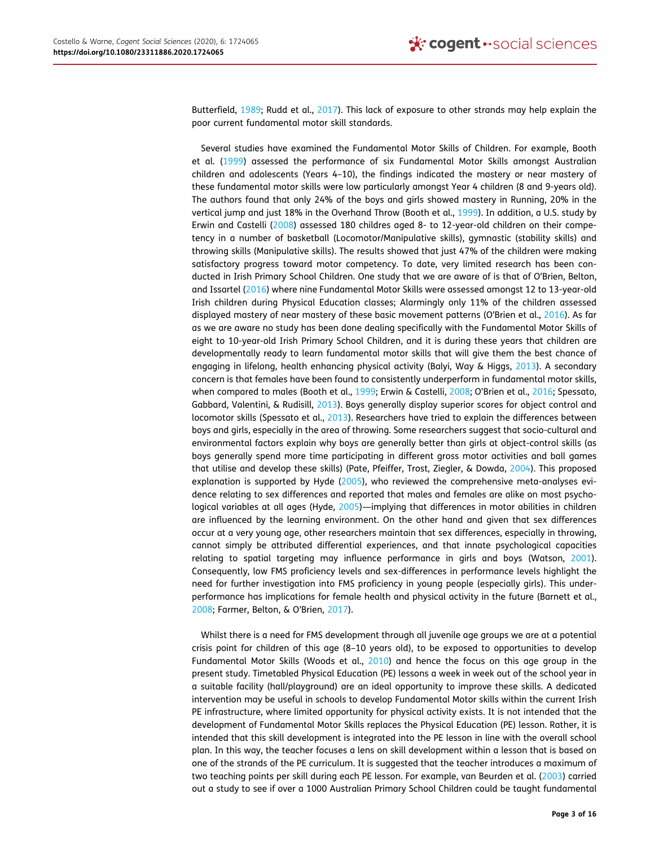<span id="page-3-5"></span>Butterfield, [1989;](#page-15-10) Rudd et al., [2017\)](#page-15-11). This lack of exposure to other strands may help explain the poor current fundamental motor skill standards.

<span id="page-3-1"></span><span id="page-3-0"></span>Several studies have examined the Fundamental Motor Skills of Children. For example, Booth et al. [\(1999](#page-14-4)) assessed the performance of six Fundamental Motor Skills amongst Australian children and adolescents (Years 4–10), the findings indicated the mastery or near mastery of these fundamental motor skills were low particularly amongst Year 4 children (8 and 9-years old). The authors found that only 24% of the boys and girls showed mastery in Running, 20% in the vertical jump and just 18% in the Overhand Throw (Booth et al., [1999](#page-14-4)). In addition, a U.S. study by Erwin and Castelli ([2008](#page-14-5)) assessed 180 childres aged 8- to 12-year-old children on their competency in a number of basketball (Locomotor/Manipulative skills), gymnastic (stability skills) and throwing skills (Manipulative skills). The results showed that just 47% of the children were making satisfactory progress toward motor competency. To date, very limited research has been conducted in Irish Primary School Children. One study that we are aware of is that of O'Brien, Belton, and Issartel ([2016\)](#page-15-12) where nine Fundamental Motor Skills were assessed amongst 12 to 13-year-old Irish children during Physical Education classes; Alarmingly only 11% of the children assessed displayed mastery of near mastery of these basic movement patterns (O'Brien et al., [2016](#page-15-12)). As far as we are aware no study has been done dealing specifically with the Fundamental Motor Skills of eight to 10-year-old Irish Primary School Children, and it is during these years that children are developmentally ready to learn fundamental motor skills that will give them the best chance of engaging in lifelong, health enhancing physical activity (Balyi, Way & Higgs, [2013\)](#page-14-6). A secondary concern is that females have been found to consistently underperform in fundamental motor skills, when compared to males (Booth et al., [1999](#page-14-4); Erwin & Castelli, [2008;](#page-14-5) O'Brien et al., [2016;](#page-15-12) Spessato, Gabbard, Valentini, & Rudisill, [2013\)](#page-15-13). Boys generally display superior scores for object control and locomotor skills (Spessato et al., [2013](#page-15-13)). Researchers have tried to explain the differences between boys and girls, especially in the area of throwing. Some researchers suggest that socio-cultural and environmental factors explain why boys are generally better than girls at object-control skills (as boys generally spend more time participating in different gross motor activities and ball games that utilise and develop these skills) (Pate, Pfeiffer, Trost, Ziegler, & Dowda, [2004\)](#page-15-14). This proposed explanation is supported by Hyde [\(2005](#page-15-15)), who reviewed the comprehensive meta-analyses evidence relating to sex differences and reported that males and females are alike on most psycho-logical variables at all ages (Hyde, [2005\)](#page-15-15)—implying that differences in motor abilities in children are influenced by the learning environment. On the other hand and given that sex differences occur at a very young age, other researchers maintain that sex differences, especially in throwing, cannot simply be attributed differential experiences, and that innate psychological capacities relating to spatial targeting may influence performance in girls and boys (Watson, [2001\)](#page-15-16). Consequently, low FMS proficiency levels and sex-differences in performance levels highlight the need for further investigation into FMS proficiency in young people (especially girls). This underperformance has implications for female health and physical activity in the future (Barnett et al., [2008](#page-14-1); Farmer, Belton, & O'Brien, [2017](#page-15-17)).

<span id="page-3-8"></span><span id="page-3-7"></span><span id="page-3-6"></span><span id="page-3-4"></span><span id="page-3-3"></span><span id="page-3-2"></span>Whilst there is a need for FMS development through all juvenile age groups we are at a potential crisis point for children of this age (8–10 years old), to be exposed to opportunities to develop Fundamental Motor Skills (Woods et al., [2010\)](#page-15-7) and hence the focus on this age group in the present study. Timetabled Physical Education (PE) lessons a week in week out of the school year in a suitable facility (hall/playground) are an ideal opportunity to improve these skills. A dedicated intervention may be useful in schools to develop Fundamental Motor skills within the current Irish PE infrastructure, where limited opportunity for physical activity exists. It is not intended that the development of Fundamental Motor Skills replaces the Physical Education (PE) lesson. Rather, it is intended that this skill development is integrated into the PE lesson in line with the overall school plan. In this way, the teacher focuses a lens on skill development within a lesson that is based on one of the strands of the PE curriculum. It is suggested that the teacher introduces a maximum of two teaching points per skill during each PE lesson. For example, van Beurden et al. [\(2003\)](#page-15-18) carried out a study to see if over a 1000 Australian Primary School Children could be taught fundamental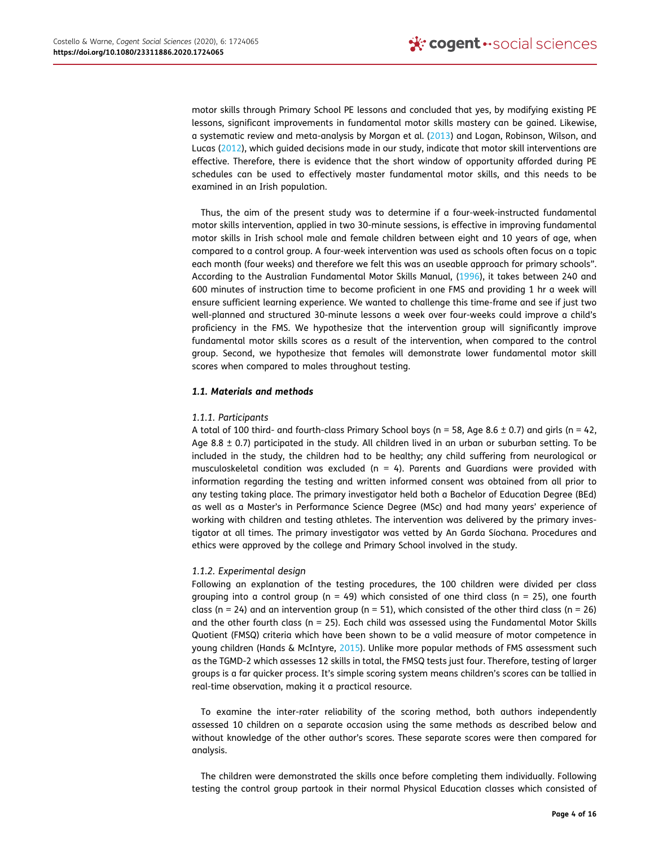<span id="page-4-2"></span><span id="page-4-1"></span>motor skills through Primary School PE lessons and concluded that yes, by modifying existing PE lessons, significant improvements in fundamental motor skills mastery can be gained. Likewise, a systematic review and meta-analysis by Morgan et al. [\(2013\)](#page-15-19) and Logan, Robinson, Wilson, and Lucas [\(2012\)](#page-15-20), which guided decisions made in our study, indicate that motor skill interventions are effective. Therefore, there is evidence that the short window of opportunity afforded during PE schedules can be used to effectively master fundamental motor skills, and this needs to be examined in an Irish population.

<span id="page-4-0"></span>Thus, the aim of the present study was to determine if a four-week-instructed fundamental motor skills intervention, applied in two 30-minute sessions, is effective in improving fundamental motor skills in Irish school male and female children between eight and 10 years of age, when compared to a control group. A four-week intervention was used as schools often focus on a topic each month (four weeks) and therefore we felt this was an useable approach for primary schools". According to the Australian Fundamental Motor Skills Manual, [\(1996\)](#page-15-21), it takes between 240 and 600 minutes of instruction time to become proficient in one FMS and providing 1 hr a week will ensure sufficient learning experience. We wanted to challenge this time-frame and see if just two well-planned and structured 30-minute lessons a week over four-weeks could improve a child's proficiency in the FMS. We hypothesize that the intervention group will significantly improve fundamental motor skills scores as a result of the intervention, when compared to the control group. Second, we hypothesize that females will demonstrate lower fundamental motor skill scores when compared to males throughout testing.

### 1.1. Materials and methods

### 1.1.1. Participants

A total of 100 third- and fourth-class Primary School boys ( $n = 58$ , Age 8.6  $\pm$  0.7) and girls ( $n = 42$ , Age  $8.8 \pm 0.7$ ) participated in the study. All children lived in an urban or suburban setting. To be included in the study, the children had to be healthy; any child suffering from neurological or musculoskeletal condition was excluded ( $n = 4$ ). Parents and Guardians were provided with information regarding the testing and written informed consent was obtained from all prior to any testing taking place. The primary investigator held both a Bachelor of Education Degree (BEd) as well as a Master's in Performance Science Degree (MSc) and had many years' experience of working with children and testing athletes. The intervention was delivered by the primary investigator at all times. The primary investigator was vetted by An Garda Síochana. Procedures and ethics were approved by the college and Primary School involved in the study.

### 1.1.2. Experimental design

Following an explanation of the testing procedures, the 100 children were divided per class grouping into a control group ( $n = 49$ ) which consisted of one third class ( $n = 25$ ), one fourth class (n = 24) and an intervention group (n = 51), which consisted of the other third class (n = 26) and the other fourth class ( $n = 25$ ). Each child was assessed using the Fundamental Motor Skills Quotient (FMSQ) criteria which have been shown to be a valid measure of motor competence in young children (Hands & McIntyre, [2015\)](#page-15-1). Unlike more popular methods of FMS assessment such as the TGMD-2 which assesses 12 skills in total, the FMSQ tests just four. Therefore, testing of larger groups is a far quicker process. It's simple scoring system means children's scores can be tallied in real-time observation, making it a practical resource.

To examine the inter-rater reliability of the scoring method, both authors independently assessed 10 children on a separate occasion using the same methods as described below and without knowledge of the other author's scores. These separate scores were then compared for analysis.

The children were demonstrated the skills once before completing them individually. Following testing the control group partook in their normal Physical Education classes which consisted of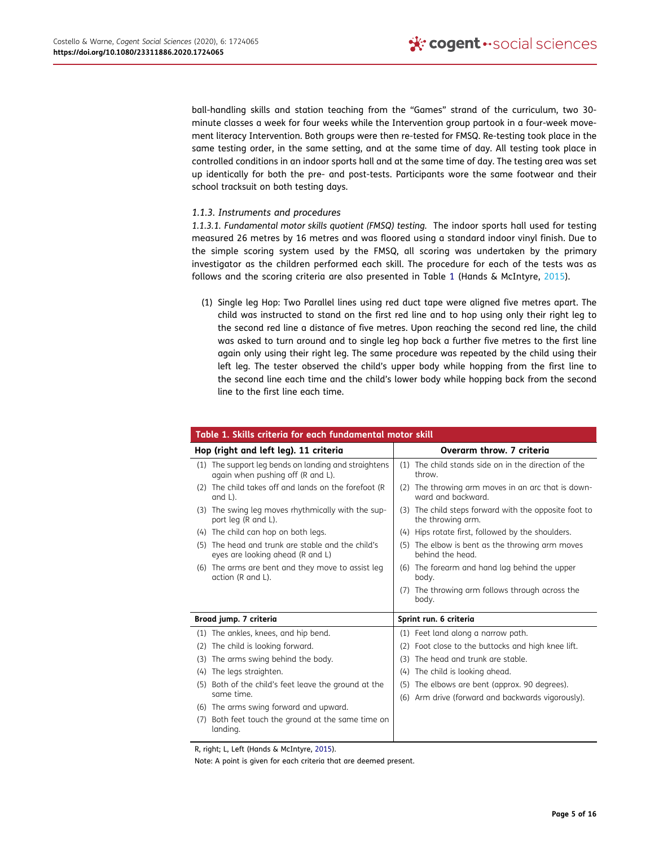ball-handling skills and station teaching from the "Games" strand of the curriculum, two 30 minute classes a week for four weeks while the Intervention group partook in a four-week movement literacy Intervention. Both groups were then re-tested for FMSQ. Re-testing took place in the same testing order, in the same setting, and at the same time of day. All testing took place in controlled conditions in an indoor sports hall and at the same time of day. The testing area was set up identically for both the pre- and post-tests. Participants wore the same footwear and their school tracksuit on both testing days.

## 1.1.3. Instruments and procedures

1.1.3.1. Fundamental motor skills quotient (FMSQ) testing. The indoor sports hall used for testing measured 26 metres by 16 metres and was floored using a standard indoor vinyl finish. Due to the simple scoring system used by the FMSQ, all scoring was undertaken by the primary investigator as the children performed each skill. The procedure for each of the tests was as follows and the scoring criteria are also presented in Table [1](#page-5-0) (Hands & McIntyre, [2015\)](#page-15-1).

(1) Single leg Hop: Two Parallel lines using red duct tape were aligned five metres apart. The child was instructed to stand on the first red line and to hop using only their right leg to the second red line a distance of five metres. Upon reaching the second red line, the child was asked to turn around and to single leg hop back a further five metres to the first line again only using their right leg. The same procedure was repeated by the child using their left leg. The tester observed the child's upper body while hopping from the first line to the second line each time and the child's lower body while hopping back from the second line to the first line each time.

<span id="page-5-0"></span>

| Table 1. Skills criteria for each fundamental motor skill                                    |                                                                                                       |
|----------------------------------------------------------------------------------------------|-------------------------------------------------------------------------------------------------------|
| Hop (right and left leg). 11 criteria                                                        | Overarm throw. 7 criteria                                                                             |
| The support leg bends on landing and straightens<br>(1)<br>again when pushing off (R and L). | The child stands side on in the direction of the<br>(1)<br>throw.                                     |
| The child takes off and lands on the forefoot (R<br>(2)<br>and L).                           | (2) The throwing arm moves in an arc that is down-<br>ward and backward.                              |
| (3) The swing leg moves rhythmically with the sup-<br>port leg (R and L).                    | (3) The child steps forward with the opposite foot to<br>the throwing arm.                            |
| The child can hop on both legs.<br>(4)                                                       | (4) Hips rotate first, followed by the shoulders.                                                     |
| The head and trunk are stable and the child's<br>(5)<br>eyes are looking ahead (R and L)     | (5) The elbow is bent as the throwing arm moves<br>behind the head.                                   |
| (6) The arms are bent and they move to assist leg<br>action (R and L).                       | (6) The forearm and hand lag behind the upper<br>body.                                                |
|                                                                                              | The throwing arm follows through across the<br>(7)<br>body.                                           |
| Broad jump. 7 criteria                                                                       | Sprint run. 6 criteria                                                                                |
| The ankles, knees, and hip bend.<br>(1)                                                      | (1) Feet land along a narrow path.                                                                    |
| The child is looking forward.<br>(2)                                                         | Foot close to the buttocks and high knee lift.<br>(2)                                                 |
| The arms swing behind the body.<br>(3)                                                       | The head and trunk are stable.<br>(3)                                                                 |
| The legs straighten.<br>(4)                                                                  | The child is looking ahead.<br>(4)                                                                    |
| Both of the child's feet leave the ground at the<br>(5)<br>same time.                        | The elbows are bent (approx. 90 degrees).<br>(5)<br>(6) Arm drive (forward and backwards vigorously). |
| (6) The arms swing forward and upward.                                                       |                                                                                                       |
| Both feet touch the ground at the same time on<br>(7)<br>landing.                            |                                                                                                       |

R, right; L, Left (Hands & McIntyre, [2015](#page-15-1)).

Note: A point is given for each criteria that are deemed present.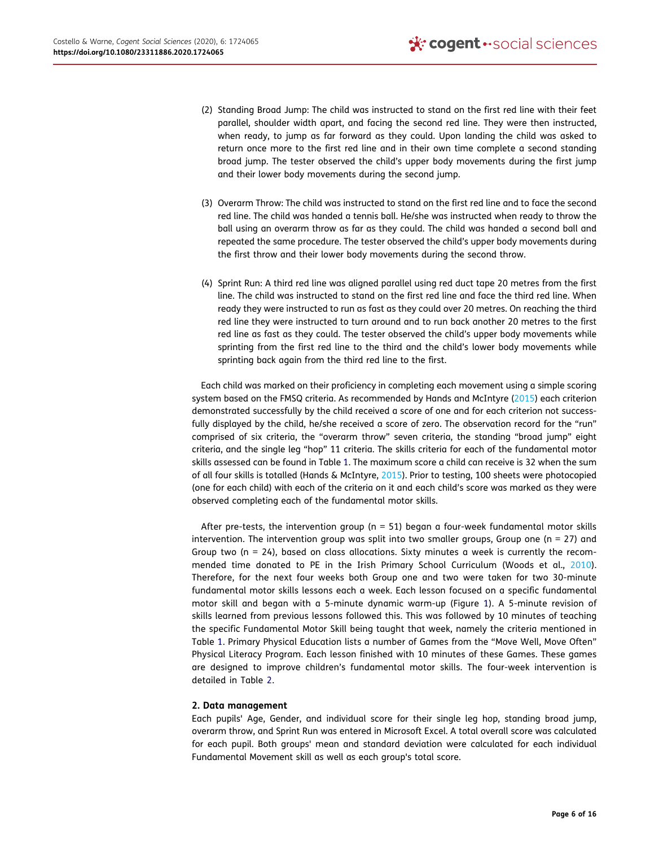- (2) Standing Broad Jump: The child was instructed to stand on the first red line with their feet parallel, shoulder width apart, and facing the second red line. They were then instructed, when ready, to jump as far forward as they could. Upon landing the child was asked to return once more to the first red line and in their own time complete a second standing broad jump. The tester observed the child's upper body movements during the first jump and their lower body movements during the second jump.
- (3) Overarm Throw: The child was instructed to stand on the first red line and to face the second red line. The child was handed a tennis ball. He/she was instructed when ready to throw the ball using an overarm throw as far as they could. The child was handed a second ball and repeated the same procedure. The tester observed the child's upper body movements during the first throw and their lower body movements during the second throw.
- (4) Sprint Run: A third red line was aligned parallel using red duct tape 20 metres from the first line. The child was instructed to stand on the first red line and face the third red line. When ready they were instructed to run as fast as they could over 20 metres. On reaching the third red line they were instructed to turn around and to run back another 20 metres to the first red line as fast as they could. The tester observed the child's upper body movements while sprinting from the first red line to the third and the child's lower body movements while sprinting back again from the third red line to the first.

Each child was marked on their proficiency in completing each movement using a simple scoring system based on the FMSQ criteria. As recommended by Hands and McIntyre [\(2015\)](#page-15-1) each criterion demonstrated successfully by the child received a score of one and for each criterion not successfully displayed by the child, he/she received a score of zero. The observation record for the "run" comprised of six criteria, the "overarm throw" seven criteria, the standing "broad jump" eight criteria, and the single leg "hop" 11 criteria. The skills criteria for each of the fundamental motor skills assessed can be found in Table [1.](#page-5-0) The maximum score a child can receive is 32 when the sum of all four skills is totalled (Hands & McIntyre, [2015](#page-15-1)). Prior to testing, 100 sheets were photocopied (one for each child) with each of the criteria on it and each child's score was marked as they were observed completing each of the fundamental motor skills.

After pre-tests, the intervention group ( $n = 51$ ) began a four-week fundamental motor skills intervention. The intervention group was split into two smaller groups, Group one ( $n = 27$ ) and Group two ( $n = 24$ ), based on class allocations. Sixty minutes a week is currently the recommended time donated to PE in the Irish Primary School Curriculum (Woods et al., [2010\)](#page-15-7). Therefore, for the next four weeks both Group one and two were taken for two 30-minute fundamental motor skills lessons each a week. Each lesson focused on a specific fundamental motor skill and began with a 5-minute dynamic warm-up (Figure [1](#page-7-0)). A 5-minute revision of skills learned from previous lessons followed this. This was followed by 10 minutes of teaching the specific Fundamental Motor Skill being taught that week, namely the criteria mentioned in Table [1.](#page-5-0) Primary Physical Education lists a number of Games from the "Move Well, Move Often" Physical Literacy Program. Each lesson finished with 10 minutes of these Games. These games are designed to improve children's fundamental motor skills. The four-week intervention is detailed in Table [2](#page-9-0).

### 2. Data management

Each pupils' Age, Gender, and individual score for their single leg hop, standing broad jump, overarm throw, and Sprint Run was entered in Microsoft Excel. A total overall score was calculated for each pupil. Both groups' mean and standard deviation were calculated for each individual Fundamental Movement skill as well as each group's total score.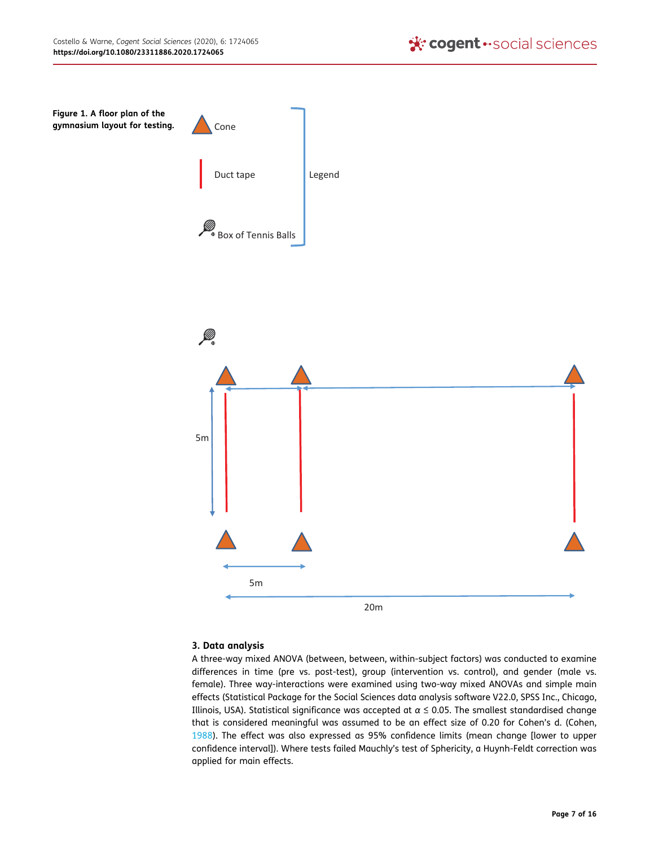<span id="page-7-0"></span>

## 3. Data analysis

<span id="page-7-1"></span>A three-way mixed ANOVA (between, between, within-subject factors) was conducted to examine differences in time (pre vs. post-test), group (intervention vs. control), and gender (male vs. female). Three way-interactions were examined using two-way mixed ANOVAs and simple main effects (Statistical Package for the Social Sciences data analysis software V22.0, SPSS Inc., Chicago, Illinois, USA). Statistical significance was accepted at  $\alpha \le 0.05$ . The smallest standardised change that is considered meaningful was assumed to be an effect size of 0.20 for Cohen's d. (Cohen, [1988](#page-14-7)). The effect was also expressed as 95% confidence limits (mean change [lower to upper confidence interval]). Where tests failed Mauchly's test of Sphericity, a Huynh-Feldt correction was applied for main effects.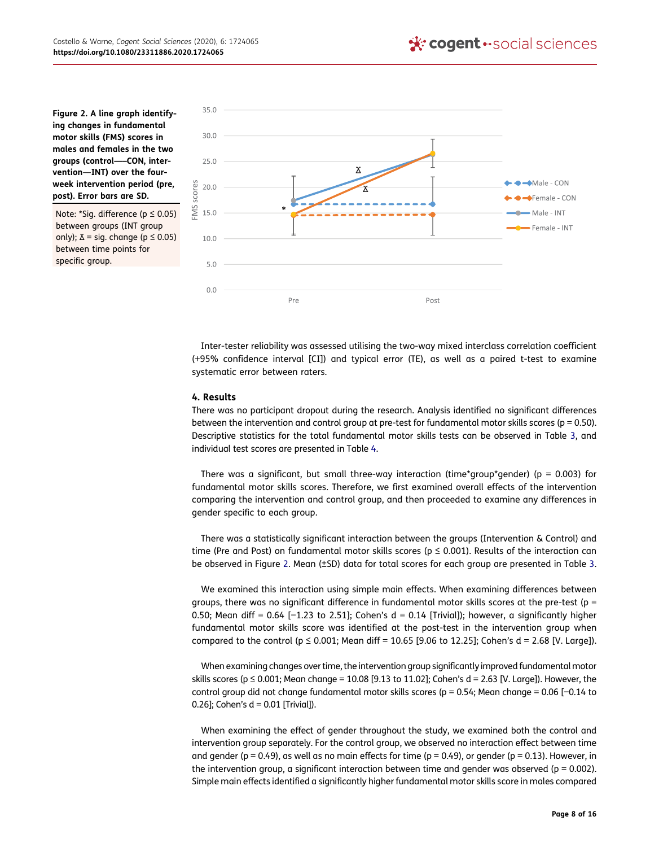<span id="page-8-0"></span>Figure 2. A line graph identifying changes in fundamental motor skills (FMS) scores in males and females in the two groups (control—–CON, intervention—INT) over the fourweek intervention period (pre, post). Error bars are SD.

Note: \*Sig. difference (p ≤ 0.05) between groups (INT group only);  $\Delta$  = sig. change ( $p \le 0.05$ ) between time points for specific group.



Inter-tester reliability was assessed utilising the two-way mixed interclass correlation coefficient (+95% confidence interval [CI]) and typical error (TE), as well as a paired t-test to examine systematic error between raters.

#### 4. Results

There was no participant dropout during the research. Analysis identified no significant differences between the intervention and control group at pre-test for fundamental motor skills scores ( $p = 0.50$ ). Descriptive statistics for the total fundamental motor skills tests can be observed in Table [3,](#page-11-0) and individual test scores are presented in Table [4.](#page-12-0)

There was a significant, but small three-way interaction (time\*group\*gender) ( $p = 0.003$ ) for fundamental motor skills scores. Therefore, we first examined overall effects of the intervention comparing the intervention and control group, and then proceeded to examine any differences in gender specific to each group.

There was a statistically significant interaction between the groups (Intervention & Control) and time (Pre and Post) on fundamental motor skills scores ( $p \le 0.001$ ). Results of the interaction can be observed in Figure [2](#page-8-0). Mean (±SD) data for total scores for each group are presented in Table [3](#page-11-0).

We examined this interaction using simple main effects. When examining differences between groups, there was no significant difference in fundamental motor skills scores at the pre-test (p = 0.50; Mean diff = 0.64 [-1.23 to 2.51]; Cohen's  $d = 0.14$  [Trivial]); however, a significantly higher fundamental motor skills score was identified at the post-test in the intervention group when compared to the control ( $p \le 0.001$ ; Mean diff = 10.65 [9.06 to 12.25]; Cohen's d = 2.68 [V. Large]).

When examining changes over time, the intervention group significantly improved fundamental motor skills scores ( $p \le 0.001$ ; Mean change = 10.08 [9.13 to 11.02]; Cohen's d = 2.63 [V. Large]). However, the control group did not change fundamental motor skills scores (p = 0.54; Mean change = 0.06 [−0.14 to 0.26]; Cohen's  $d = 0.01$  [Trivial]).

When examining the effect of gender throughout the study, we examined both the control and intervention group separately. For the control group, we observed no interaction effect between time and gender ( $p = 0.49$ ), as well as no main effects for time ( $p = 0.49$ ), or gender ( $p = 0.13$ ). However, in the intervention group, a significant interaction between time and gender was observed ( $p = 0.002$ ). Simple main effects identified a significantly higher fundamental motor skills score in males compared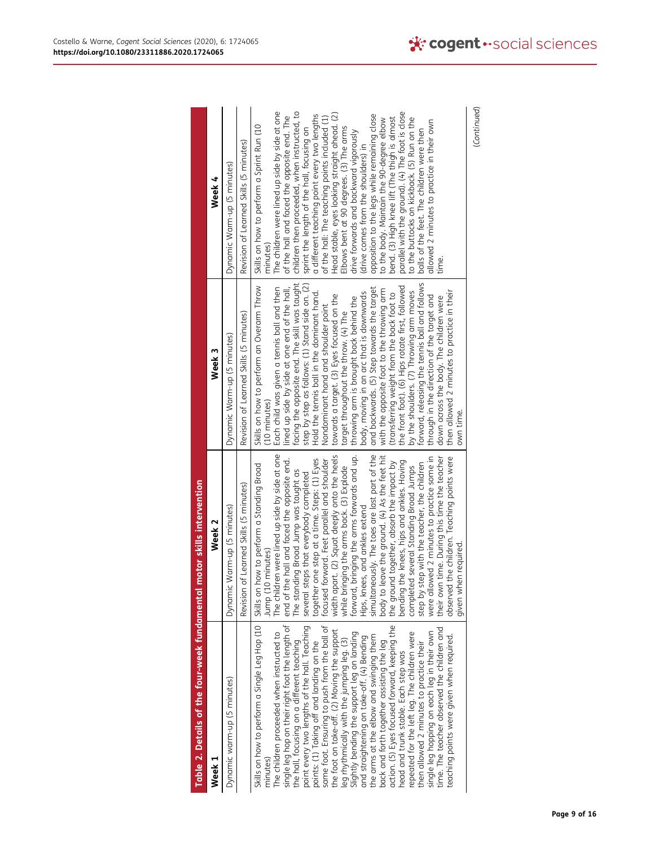<span id="page-9-0"></span>

| Table 2. Details of the four-week fundamental motor skills intervention                                                                                                                                                                                                                                                                                                                                                                                                                                                                                                                                                                                                                                                                                                                                                                                                                                                                                                     |                                                                                                                                                                                                                                                                                                                                                                                                                                                                                                                                                                                                                                                                                                                                                                                                                                                                                                                                                                                                  |                                                                                                                                                                                                                                                                                                                                                                                                                                                                                                                                                                                                                                                                                                                                                                                                                                                                                                                                                                                |                                                                                                                                                                                                                                                                                                                                                                                                                                                                                                                                                                                                                                                                                                                                                                                                                                                                                         |
|-----------------------------------------------------------------------------------------------------------------------------------------------------------------------------------------------------------------------------------------------------------------------------------------------------------------------------------------------------------------------------------------------------------------------------------------------------------------------------------------------------------------------------------------------------------------------------------------------------------------------------------------------------------------------------------------------------------------------------------------------------------------------------------------------------------------------------------------------------------------------------------------------------------------------------------------------------------------------------|--------------------------------------------------------------------------------------------------------------------------------------------------------------------------------------------------------------------------------------------------------------------------------------------------------------------------------------------------------------------------------------------------------------------------------------------------------------------------------------------------------------------------------------------------------------------------------------------------------------------------------------------------------------------------------------------------------------------------------------------------------------------------------------------------------------------------------------------------------------------------------------------------------------------------------------------------------------------------------------------------|--------------------------------------------------------------------------------------------------------------------------------------------------------------------------------------------------------------------------------------------------------------------------------------------------------------------------------------------------------------------------------------------------------------------------------------------------------------------------------------------------------------------------------------------------------------------------------------------------------------------------------------------------------------------------------------------------------------------------------------------------------------------------------------------------------------------------------------------------------------------------------------------------------------------------------------------------------------------------------|-----------------------------------------------------------------------------------------------------------------------------------------------------------------------------------------------------------------------------------------------------------------------------------------------------------------------------------------------------------------------------------------------------------------------------------------------------------------------------------------------------------------------------------------------------------------------------------------------------------------------------------------------------------------------------------------------------------------------------------------------------------------------------------------------------------------------------------------------------------------------------------------|
| Week 1                                                                                                                                                                                                                                                                                                                                                                                                                                                                                                                                                                                                                                                                                                                                                                                                                                                                                                                                                                      | Week 2                                                                                                                                                                                                                                                                                                                                                                                                                                                                                                                                                                                                                                                                                                                                                                                                                                                                                                                                                                                           | Week 3                                                                                                                                                                                                                                                                                                                                                                                                                                                                                                                                                                                                                                                                                                                                                                                                                                                                                                                                                                         | Week 4                                                                                                                                                                                                                                                                                                                                                                                                                                                                                                                                                                                                                                                                                                                                                                                                                                                                                  |
| Dynamic warm-up (5 minutes)                                                                                                                                                                                                                                                                                                                                                                                                                                                                                                                                                                                                                                                                                                                                                                                                                                                                                                                                                 | Dynamic Warm-up (5 minutes)                                                                                                                                                                                                                                                                                                                                                                                                                                                                                                                                                                                                                                                                                                                                                                                                                                                                                                                                                                      | Dynamic Warm-up (5 minutes)                                                                                                                                                                                                                                                                                                                                                                                                                                                                                                                                                                                                                                                                                                                                                                                                                                                                                                                                                    | Dynamic Warm-up (5 minutes)                                                                                                                                                                                                                                                                                                                                                                                                                                                                                                                                                                                                                                                                                                                                                                                                                                                             |
|                                                                                                                                                                                                                                                                                                                                                                                                                                                                                                                                                                                                                                                                                                                                                                                                                                                                                                                                                                             | Revision of Learned Skills (5 minutes)                                                                                                                                                                                                                                                                                                                                                                                                                                                                                                                                                                                                                                                                                                                                                                                                                                                                                                                                                           | Revision of Learned Skills (5 minutes)                                                                                                                                                                                                                                                                                                                                                                                                                                                                                                                                                                                                                                                                                                                                                                                                                                                                                                                                         | Revision of Learned Skills (5 minutes)                                                                                                                                                                                                                                                                                                                                                                                                                                                                                                                                                                                                                                                                                                                                                                                                                                                  |
| Skills on how to perform a Single Leg Hop (10  <br>single leg hop on their right foot the length of<br>point every two lengths of the hall. Teaching<br>same foot. Ensuring to push from the ball of<br>the foot on take-off. (2) Moving the support<br>action. (5) Eyes focused forward, keeping the<br>time. The teacher observed the children and<br>repeated for the left leg. The children were<br>single leg hopping on each leg in their own<br>The children proceeded when instructed to<br>leg rhythmically with the jumping leg. (3)<br>Slightly bending the support leg on landing<br>teaching points were given when required.<br>the arms at the elbow and swinging them<br>and straightening on take-off. (4) Bending<br>the hall, focusing on a different teaching<br>points: (1) Taking off and landing on the<br>back and forth together assisting the leg<br>then allowed 2 minutes to practice their<br>head and trunk stable. Each step was<br>minutes) | The children were lined up side by side at one<br>width apart. (2) Squat deeply onto the heels<br>forward, bringing the arms forwards and up.<br>simultaneously. The toes are last part of the<br>body to leave the ground. (4) As the feet hit<br>were allowed 2 minutes to practice some in<br>the children. Teaching points were<br>their own time. During this time the teacher<br>together one step at a time. Steps: (1) Eyes<br>focused forward. Feet parallel and shoulder<br>end of the hall and faced the opposite end.<br>bending the knees, hips and ankles. Having<br>the ground together, absorb the impact by<br>step by step with the teacher, the children<br>Skills on how to perform a Standing Broad<br>while bringing the arms back. (3) Explode<br>several Standing Broad Jumps<br>The standing Broad Jump was taught as<br>several steps that everybody completed<br>Hips, knees, and ankles extend<br>given when required.<br>Jump (10 minutes)<br>completed<br>observed | facing the opposite end. The skill was taught<br>forward, releasing the tennis ball and follows<br>step by step as follows: (1) Stand side on. (2)<br>the front foot). (6) Hips rotate first, followed<br>Skills on how to perform an Overarm Throw<br>lined up side by side at one end of the hall,<br>Each child was given a tennis ball and then<br>and backwards. (5) Step towards the target<br>with the opposite foot to the throwing arm<br>then allowed 2 minutes to practice in their<br>by the shoulders. (7) Throwing arm moves<br>body, moving in an arc that is downwards<br>Hold the tennis ball in the dominant hand.<br>transferring weight from the back foot to<br>towards a target. (3) Eyes focused on the<br>through in the direction of the target and<br>down across the body. The children were<br>throwing arm is brought back behind the<br>Nondominant hand and shoulder point<br>target throughout the throw. (4) The<br>(10 minutes)<br>own time. | The children were lined up side by side at one<br>parallel with the ground). (4) The foot is close<br>children then proceeded, when instructed, to<br>Head stable, eyes looking straight ahead. (2)<br>a different teaching point every two lengths<br>opposition to the legs while remaining close<br>of the hall and faced the opposite end. The<br>of the hall: The teaching points included (1)<br>bend. (3) High knee lift (The thigh is almost<br>to the buttocks on kickback. (5) Run on the<br>to the body. Maintain the 90-degree elbow<br>allowed 2 minutes to practice in their own<br>Skills on how to perform a Sprint Run (10<br>Elbows bent at 90 degrees. (3) The arms<br>sprint the length of the hall, focusing on<br>balls of the feet. The children were then<br>drive forwards and backward vigorously<br>(drive comes from the shoulders) in<br>minutes)<br>time. |
|                                                                                                                                                                                                                                                                                                                                                                                                                                                                                                                                                                                                                                                                                                                                                                                                                                                                                                                                                                             |                                                                                                                                                                                                                                                                                                                                                                                                                                                                                                                                                                                                                                                                                                                                                                                                                                                                                                                                                                                                  |                                                                                                                                                                                                                                                                                                                                                                                                                                                                                                                                                                                                                                                                                                                                                                                                                                                                                                                                                                                |                                                                                                                                                                                                                                                                                                                                                                                                                                                                                                                                                                                                                                                                                                                                                                                                                                                                                         |

(Continued) (Continued)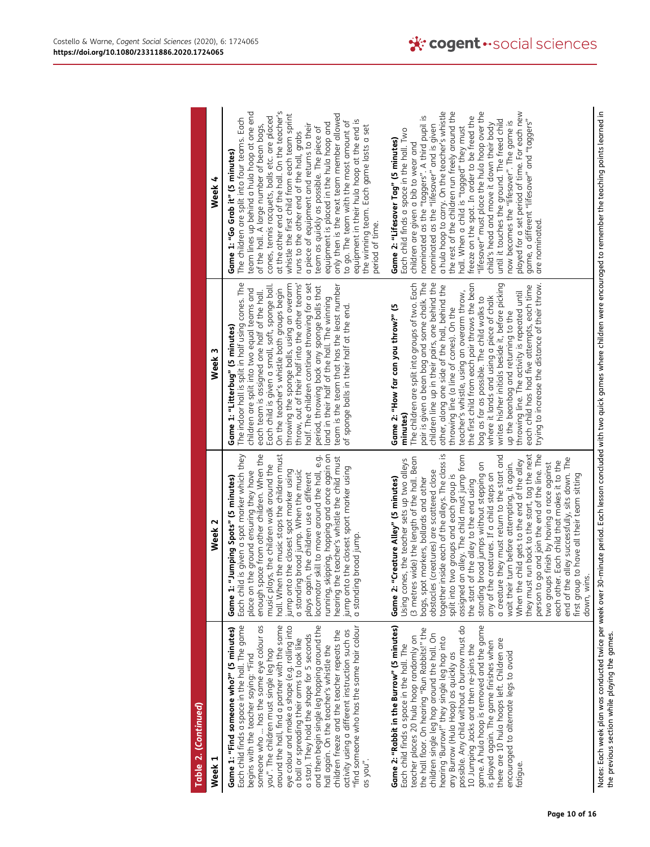| Table 2. (Continued)                                                                                                                                                                                                                                                                                                                                                                                                                                                                                                                                                                                                                                                           |                                                                                                                                                                                                                                                                                                                                                                                                                                                                                                                                                                                                                                                                                                                                                                                                                                                                                                                                                                              |                                                                                                                                                                                                                                                                                                                                                                                                                                                                                                                                                                                                                                                                                                                                             |                                                                                                                                                                                                                                                                                                                                                                                                                                                                                                                                                                                                                                                                                                                                  |
|--------------------------------------------------------------------------------------------------------------------------------------------------------------------------------------------------------------------------------------------------------------------------------------------------------------------------------------------------------------------------------------------------------------------------------------------------------------------------------------------------------------------------------------------------------------------------------------------------------------------------------------------------------------------------------|------------------------------------------------------------------------------------------------------------------------------------------------------------------------------------------------------------------------------------------------------------------------------------------------------------------------------------------------------------------------------------------------------------------------------------------------------------------------------------------------------------------------------------------------------------------------------------------------------------------------------------------------------------------------------------------------------------------------------------------------------------------------------------------------------------------------------------------------------------------------------------------------------------------------------------------------------------------------------|---------------------------------------------------------------------------------------------------------------------------------------------------------------------------------------------------------------------------------------------------------------------------------------------------------------------------------------------------------------------------------------------------------------------------------------------------------------------------------------------------------------------------------------------------------------------------------------------------------------------------------------------------------------------------------------------------------------------------------------------|----------------------------------------------------------------------------------------------------------------------------------------------------------------------------------------------------------------------------------------------------------------------------------------------------------------------------------------------------------------------------------------------------------------------------------------------------------------------------------------------------------------------------------------------------------------------------------------------------------------------------------------------------------------------------------------------------------------------------------|
| Η<br>Week                                                                                                                                                                                                                                                                                                                                                                                                                                                                                                                                                                                                                                                                      | Week <sub>2</sub>                                                                                                                                                                                                                                                                                                                                                                                                                                                                                                                                                                                                                                                                                                                                                                                                                                                                                                                                                            | Week 3                                                                                                                                                                                                                                                                                                                                                                                                                                                                                                                                                                                                                                                                                                                                      | Week 4                                                                                                                                                                                                                                                                                                                                                                                                                                                                                                                                                                                                                                                                                                                           |
| Each child finds a space in the hall. The game<br>someone who  has the same eye colour as<br>around the hall, find a partner with the same<br>eye colour and make a shape (e.g. rolling into<br>and then begin single leg hopping around the<br>"find someone who has the same hair colour<br>Game 1: "Find someone who?" (5 minutes)<br>activity using a different instruction such as<br>children freeze and the teacher repeats the<br>a star). They hold the shape for 5 seconds<br>a ball or spreading their arms to look like<br>hall again. On the teacher's whistle the<br>you". The children must single leg hop<br>begins with the teacher saying: "Find<br>as you". | space from other children. When the<br>hall. When the music stops the children must<br>, skipping, hopping and once again on<br>Each child is given a spot marker which they<br>hearing the teacher's whistle the child must<br>locomotor skill to move around the hall, e.g.<br>enough space from other children. When th<br>music plays, the children walk around the<br>ump onto the closest sport marker using<br>jump onto the closest spot marker using<br>place on the ground ensuring they have<br>a standing broad jump. When the music<br>plays again, the children use a different<br>: "Jumping Spots" (5 minutes)<br>a standing broad jump<br>Game <sup>1</sup><br>running,                                                                                                                                                                                                                                                                                     | The indoor hall is split in half using cones. The<br>throwing the sponge balls, using an overarm<br>throw, out of their half into the other teams'<br>half. The children continue throwing for a set<br>Each child is given a small, soft, sponge ball.<br>team is the team that has the least number<br>period, throwing back any sponge balls that<br>On the teacher's whistle both groups begin<br>children are split into two equal teams and<br>each team is assigned one half of the hall.<br>land in their half of the hall. The winning<br>of sponge balls in their half at the end<br>Game 1: "Litterbug" (5 minutes)                                                                                                              | at the other end of the hall. On the teacher's<br>team lines up behind a hula hoop at one end<br>only then is the next team member allowed<br>whistle the first child from each team sprint<br>cones, tennis racquets, balls etc. are placed<br>The children are split into four teams. Each<br>equipment in their hula hoop at the end is<br>to go. The team with the most amount of<br>equipment is placed in the hula hoop and<br>of the hall. A large number of bean bags,<br>a piece of equipment and returns to their<br>the winning team. Each game lasts a set<br>team as quickly as possible. The piece of<br>runs to the other end of the hall, grabs<br>Game 1: "Go Grab it" (5 minutes)<br>period of time.           |
| possible. Any child without a burrow must do<br>game. A hula hoop is removed and the game<br>is played again. The game finishes when<br>Game 2: "Rabbit in the Burrow" (5 minutes)<br>the hall floor. On hearing "Run Rabbits!" the<br>children single leg hop around the hall. On<br>teacher places 20 hula hoop randomly on<br>hearing 'Burrow!" they single leg hop into<br>there are 10 hula hoops left. Children are<br>10 Jumping Jacks and then re-joins the<br>Each child finds a space in the hall. The<br>encouraged to alternate legs to avoid<br>any Burrow (Hula Hoop) as quickly as<br>fatique                                                                   | person to go and join the end of the line. The<br>together inside each of the alleys. The class is<br>they must run back to the start, tag the next<br>assigned an alley. The child must jump from<br>a creature they must return to the start and<br>(3 metres wide) the length of the hall. Bean<br>the alley successfully, sits down. The<br>Using cones, the teacher sets up two alleys<br>When the child gets to the end of the alley<br>each other. Each child that makes it to the<br>wait their turn before attempting, it again.<br>two groups finish by having a race against<br>standing broad jumps without stepping on<br>any of the creatures. If a child steps on<br>obstacles (creatures) are scattered close<br>first group to have all their team sitting<br>split into two groups and each group is<br>bags, spot markers, bollards and other<br>Game 2: "Creature Alley" (5 minutes)<br>the start of the alley to the end using<br>down, wins.<br>end of | pair is given a bean bag and some chalk. The<br>children line up in their pairs, one behind the<br>The children are split into groups of two. Each<br>the first child from each pair throws the bean<br>writes his/her initials beside it, before picking<br>other, along one side of the hall, behind the<br>trying to increase the distance of their throw.<br>each child has had five attempts, each time<br>teacher's whistle, using an overarm throw,<br>throwing line. The activity is repeated until<br>where it lands and using a piece of chalk<br>bag as far as possible. The child walks to<br>Game 2: "How far can you throw?" (5<br>throwing line (a line of cones). On the<br>up the beanbag and returning to the<br>minutes) | a hula hoop to carry. On the teacher's whistle<br>the rest of the children run freely around the<br>"lifesaver" must place the hula hoop over the<br>played for a set period of time. For each new<br>nominated as the "taggers". A third pupil is<br>freeze on the spot. In order to be freed the<br>game, a different "lifesaver" and "taggers"<br>until it touches the ground. The freed child<br>now becomes the "lifesaver". The game is<br>child's head and move it down their body<br>nominated as the "lifesaver" and is given<br>hall. When a child is "tagged" they must<br>Each child finds a space in the hall. Two<br>Game 2: "Lifesaver Tag" (5 minutes)<br>children are given a bib to wear and<br>are nominated. |

Notes: Each week plan was conducted twice per week over 30-minute period. Each lesson concluded with two quick games where children were encouraged to remember the teaching points learned in<br>the previous section while ploy Notes: Each week plan was conducted twice per week over 30-minute period. Each lesson concluded with two quick games where children were encouraged to remember the teaching points learned in the previous section while playing the games.

ï

Page 10 of 16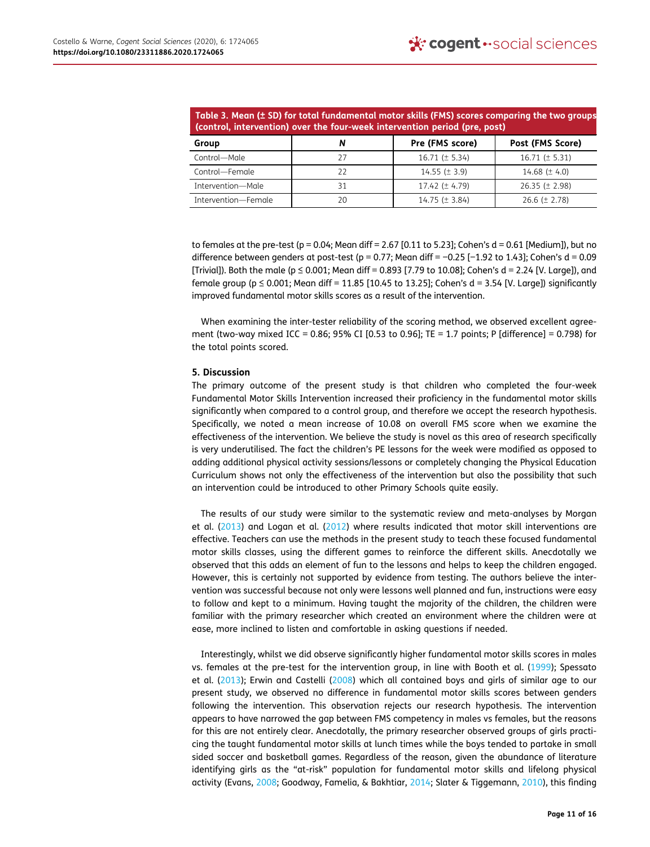<span id="page-11-0"></span>Table 3. Mean (± SD) for total fundamental motor skills (FMS) scores comparing the two groups (control, intervention) over the four-week intervention period (pre, post)

|                     | $\sim$ (control, intervention) over the four-week intervention period (pre, post) |                    |                     |
|---------------------|-----------------------------------------------------------------------------------|--------------------|---------------------|
| Group               | N                                                                                 | Pre (FMS score)    | Post (FMS Score)    |
| Control-Male        | 27                                                                                | $16.71 (\pm 5.34)$ | 16.71 ( $\pm$ 5.31) |
| Control—Female      | 22                                                                                | $14.55 (\pm 3.9)$  | 14.68 ( $\pm$ 4.0)  |
| Intervention-Male   | 31                                                                                | $17.42 (\pm 4.79)$ | $26.35 (\pm 2.98)$  |
| Intervention-Female | 20                                                                                | $14.75 (\pm 3.84)$ | 26.6 ( $\pm$ 2.78)  |

to females at the pre-test (p =  $0.04$ ; Mean diff =  $2.67$  [0.11 to  $5.23$ ]; Cohen's d =  $0.61$  [Medium]), but no difference between genders at post-test (p = 0.77; Mean diff = −0.25 [−1.92 to 1.43]; Cohen's d = 0.09 [Trivial]). Both the male ( $p \le 0.001$ ; Mean diff = 0.893 [7.79 to 10.08]; Cohen's d = 2.24 [V. Large]), and female group ( $p \le 0.001$ ; Mean diff = 11.85 [10.45 to 13.25]; Cohen's d = 3.54 [V. Large]) significantly improved fundamental motor skills scores as a result of the intervention.

When examining the inter-tester reliability of the scoring method, we observed excellent agreement (two-way mixed ICC = 0.86; 95% CI [0.53 to 0.96]; TE = 1.7 points; P [difference] = 0.798) for the total points scored.

#### 5. Discussion

The primary outcome of the present study is that children who completed the four-week Fundamental Motor Skills Intervention increased their proficiency in the fundamental motor skills significantly when compared to a control group, and therefore we accept the research hypothesis. Specifically, we noted a mean increase of 10.08 on overall FMS score when we examine the effectiveness of the intervention. We believe the study is novel as this area of research specifically is very underutilised. The fact the children's PE lessons for the week were modified as opposed to adding additional physical activity sessions/lessons or completely changing the Physical Education Curriculum shows not only the effectiveness of the intervention but also the possibility that such an intervention could be introduced to other Primary Schools quite easily.

The results of our study were similar to the systematic review and meta-analyses by Morgan et al. ([2013](#page-15-19)) and Logan et al. ([2012\)](#page-15-20) where results indicated that motor skill interventions are effective. Teachers can use the methods in the present study to teach these focused fundamental motor skills classes, using the different games to reinforce the different skills. Anecdotally we observed that this adds an element of fun to the lessons and helps to keep the children engaged. However, this is certainly not supported by evidence from testing. The authors believe the intervention was successful because not only were lessons well planned and fun, instructions were easy to follow and kept to a minimum. Having taught the majority of the children, the children were familiar with the primary researcher which created an environment where the children were at ease, more inclined to listen and comfortable in asking questions if needed.

<span id="page-11-1"></span>Interestingly, whilst we did observe significantly higher fundamental motor skills scores in males vs. females at the pre-test for the intervention group, in line with Booth et al. [\(1999\)](#page-14-4); Spessato et al. ([2013\)](#page-15-13); Erwin and Castelli [\(2008\)](#page-14-5) which all contained boys and girls of similar age to our present study, we observed no difference in fundamental motor skills scores between genders following the intervention. This observation rejects our research hypothesis. The intervention appears to have narrowed the gap between FMS competency in males vs females, but the reasons for this are not entirely clear. Anecdotally, the primary researcher observed groups of girls practicing the taught fundamental motor skills at lunch times while the boys tended to partake in small sided soccer and basketball games. Regardless of the reason, given the abundance of literature identifying girls as the "at-risk" population for fundamental motor skills and lifelong physical activity (Evans, [2008;](#page-14-8) Goodway, Famelia, & Bakhtiar, [2014;](#page-15-22) Slater & Tiggemann, [2010\)](#page-15-23), this finding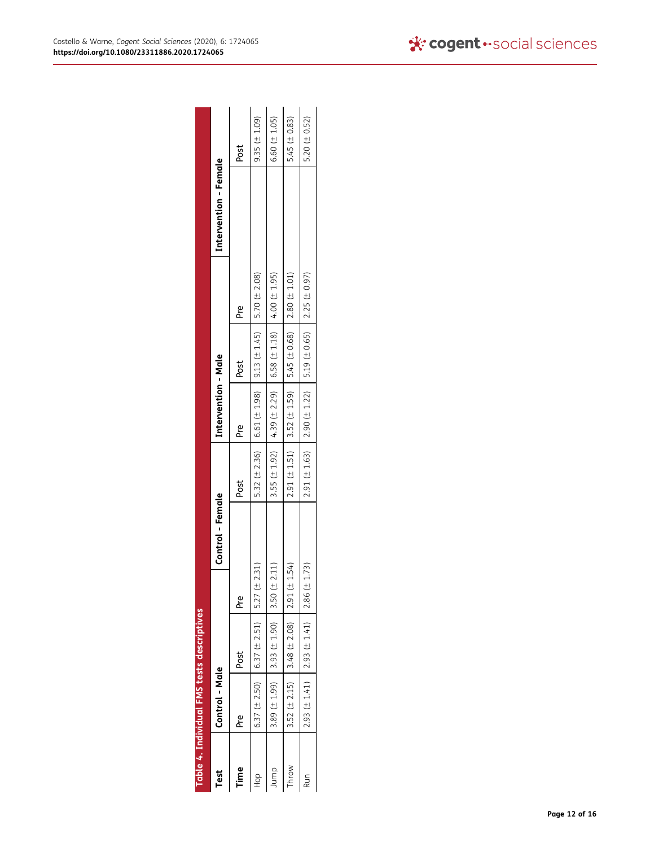<span id="page-12-0"></span>

|         | Table 4. Individual FMS tests descriptives |                                                     |                  |      |                     |                                                                                     |             |                       |                   |
|---------|--------------------------------------------|-----------------------------------------------------|------------------|------|---------------------|-------------------------------------------------------------------------------------|-------------|-----------------------|-------------------|
| Test    | <b>Control - Male</b>                      |                                                     | Control - Female |      | Intervention - Male |                                                                                     |             | Intervention - Female |                   |
| Time    | Pre                                        | Post                                                | p <sub>re</sub>  | Post | Pre                 | Post                                                                                | $rac{e}{2}$ |                       | Post              |
| do<br>H |                                            | 6.37 ( $\pm$ 2.50) 6.37 ( $\pm$ 2.51) 5.27 ( $\pm$  | 2.31)            |      |                     | 5.32 ( $\pm$ 2.36)   6.61 ( $\pm$ 1.98)   9.13 ( $\pm$ 1.45)   5.70 ( $\pm$ 2.08)   |             |                       | $9.35 (\pm 1.09)$ |
| Jump    |                                            | 3.89 ( $\pm$ 1.99) 3.93 ( $\pm$ 1.90) 3.50 ( $\pm$  | 2.11)            |      |                     | 3.55 ( $\pm$ 1.92) 4.39 ( $\pm$ 2.29) 6.58 ( $\pm$ 1.18) 4.00 ( $\pm$ 1.95)         |             |                       | $6.60 (\pm 1.05)$ |
| Throw   |                                            | 3.52 ( $\pm$ 2.15) 3.48 ( $\pm$ 2.08) 2.91 ( $\pm$  | 1.54)            |      |                     | $2.91 (\pm 1.51)$ 3.52 ( $\pm 1.59$ ) 5.45 ( $\pm 0.68$ ) 2.80 ( $\pm 1.01$ )       |             |                       | 5.45 $(± 0.83)$   |
| Run     |                                            | 2.93 $(\pm 1.41)$   2.93 $(\pm 1.41)$   2.86 $(\pm$ | 1.73             |      |                     | $2.91$ ( $\pm$ 1.63)   2.90 ( $\pm$ 1.22)   5.19 ( $\pm$ 0.65)   2.25 ( $\pm$ 0.97) |             |                       | 5.20 $(± 0.52)$   |

| l      |
|--------|
| î<br>t |
| ľ      |
|        |
| Í      |
| ŀ<br>İ |
| ç      |
| Ŝ      |
|        |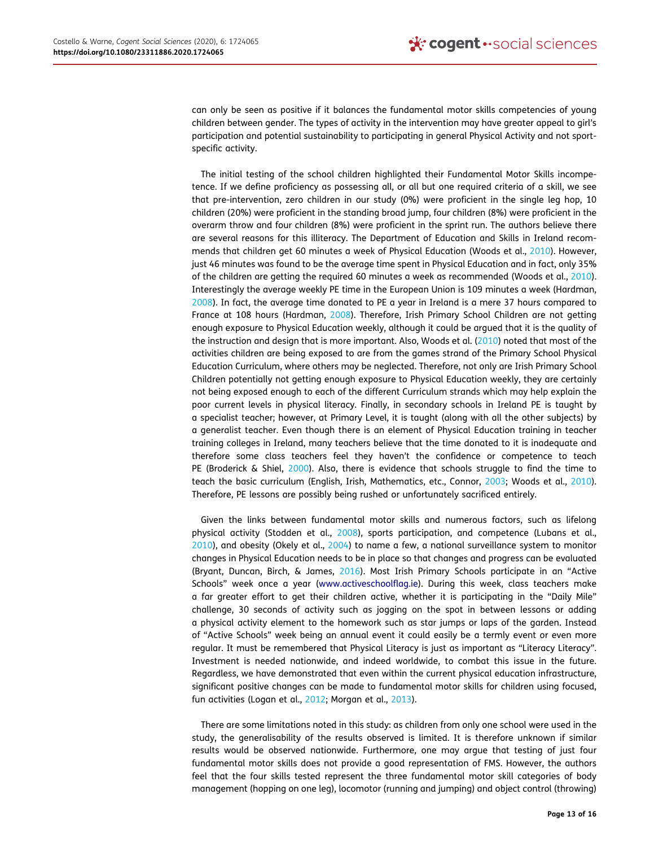can only be seen as positive if it balances the fundamental motor skills competencies of young children between gender. The types of activity in the intervention may have greater appeal to girl's participation and potential sustainability to participating in general Physical Activity and not sportspecific activity.

<span id="page-13-3"></span>The initial testing of the school children highlighted their Fundamental Motor Skills incompetence. If we define proficiency as possessing all, or all but one required criteria of a skill, we see that pre-intervention, zero children in our study (0%) were proficient in the single leg hop, 10 children (20%) were proficient in the standing broad jump, four children (8%) were proficient in the overarm throw and four children (8%) were proficient in the sprint run. The authors believe there are several reasons for this illiteracy. The Department of Education and Skills in Ireland recommends that children get 60 minutes a week of Physical Education (Woods et al., [2010](#page-15-7)). However, just 46 minutes was found to be the average time spent in Physical Education and in fact, only 35% of the children are getting the required 60 minutes a week as recommended (Woods et al., [2010\)](#page-15-7). Interestingly the average weekly PE time in the European Union is 109 minutes a week (Hardman, [2008](#page-15-24)). In fact, the average time donated to PE a year in Ireland is a mere 37 hours compared to France at 108 hours (Hardman, [2008\)](#page-15-24). Therefore, Irish Primary School Children are not getting enough exposure to Physical Education weekly, although it could be argued that it is the quality of the instruction and design that is more important. Also, Woods et al. ([2010](#page-15-7)) noted that most of the activities children are being exposed to are from the games strand of the Primary School Physical Education Curriculum, where others may be neglected. Therefore, not only are Irish Primary School Children potentially not getting enough exposure to Physical Education weekly, they are certainly not being exposed enough to each of the different Curriculum strands which may help explain the poor current levels in physical literacy. Finally, in secondary schools in Ireland PE is taught by a specialist teacher; however, at Primary Level, it is taught (along with all the other subjects) by a generalist teacher. Even though there is an element of Physical Education training in teacher training colleges in Ireland, many teachers believe that the time donated to it is inadequate and therefore some class teachers feel they haven't the confidence or competence to teach PE (Broderick & Shiel, [2000\)](#page-14-9). Also, there is evidence that schools struggle to find the time to teach the basic curriculum (English, Irish, Mathematics, etc., Connor, [2003](#page-14-10); Woods et al., [2010\)](#page-15-7). Therefore, PE lessons are possibly being rushed or unfortunately sacrificed entirely.

<span id="page-13-4"></span><span id="page-13-2"></span><span id="page-13-1"></span><span id="page-13-0"></span>Given the links between fundamental motor skills and numerous factors, such as lifelong physical activity (Stodden et al., [2008\)](#page-15-25), sports participation, and competence (Lubans et al., [2010](#page-15-3)), and obesity (Okely et al., [2004\)](#page-15-2) to name a few, a national surveillance system to monitor changes in Physical Education needs to be in place so that changes and progress can be evaluated (Bryant, Duncan, Birch, & James, [2016\)](#page-14-11). Most Irish Primary Schools participate in an "Active Schools" week once a year ([www.activeschoolflag.ie\)](http://www.activeschoolflag.ie). During this week, class teachers make a far greater effort to get their children active, whether it is participating in the "Daily Mile" challenge, 30 seconds of activity such as jogging on the spot in between lessons or adding a physical activity element to the homework such as star jumps or laps of the garden. Instead of "Active Schools" week being an annual event it could easily be a termly event or even more regular. It must be remembered that Physical Literacy is just as important as "Literacy Literacy". Investment is needed nationwide, and indeed worldwide, to combat this issue in the future. Regardless, we have demonstrated that even within the current physical education infrastructure, significant positive changes can be made to fundamental motor skills for children using focused, fun activities (Logan et al., [2012;](#page-15-20) Morgan et al., [2013](#page-15-19)).

There are some limitations noted in this study: as children from only one school were used in the study, the generalisability of the results observed is limited. It is therefore unknown if similar results would be observed nationwide. Furthermore, one may argue that testing of just four fundamental motor skills does not provide a good representation of FMS. However, the authors feel that the four skills tested represent the three fundamental motor skill categories of body management (hopping on one leg), locomotor (running and jumping) and object control (throwing)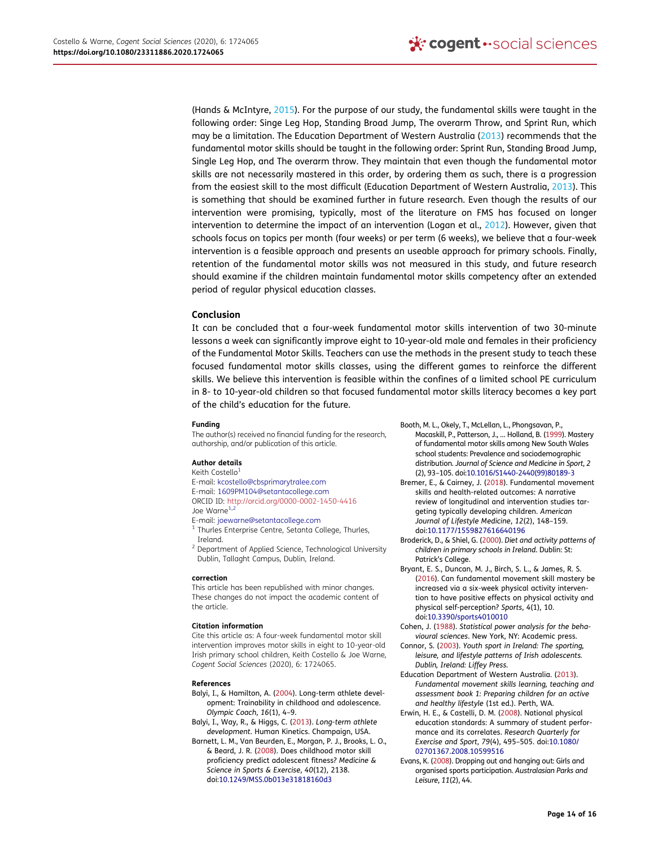<span id="page-14-13"></span>(Hands & McIntyre, [2015](#page-15-1)). For the purpose of our study, the fundamental skills were taught in the following order: Singe Leg Hop, Standing Broad Jump, The overarm Throw, and Sprint Run, which may be a limitation. The Education Department of Western Australia ([2013](#page-14-12)) recommends that the fundamental motor skills should be taught in the following order: Sprint Run, Standing Broad Jump, Single Leg Hop, and The overarm throw. They maintain that even though the fundamental motor skills are not necessarily mastered in this order, by ordering them as such, there is a progression from the easiest skill to the most difficult (Education Department of Western Australia, [2013](#page-14-12)). This is something that should be examined further in future research. Even though the results of our intervention were promising, typically, most of the literature on FMS has focused on longer intervention to determine the impact of an intervention (Logan et al., [2012\)](#page-15-20). However, given that schools focus on topics per month (four weeks) or per term (6 weeks), we believe that a four-week intervention is a feasible approach and presents an useable approach for primary schools. Finally, retention of the fundamental motor skills was not measured in this study, and future research should examine if the children maintain fundamental motor skills competency after an extended period of regular physical education classes.

#### Conclusion

It can be concluded that a four-week fundamental motor skills intervention of two 30-minute lessons a week can significantly improve eight to 10-year-old male and females in their proficiency of the Fundamental Motor Skills. Teachers can use the methods in the present study to teach these focused fundamental motor skills classes, using the different games to reinforce the different skills. We believe this intervention is feasible within the confines of a limited school PE curriculum in 8- to 10-year-old children so that focused fundamental motor skills literacy becomes a key part of the child's education for the future.

#### Funding

The author(s) received no financial funding for the research, authorship, and/or publication of this article.

#### Author details

Keith Costell[o1](#page-1-0) E-mail: kcostello@cbsprimarytralee.com E-mail: 1609PM104@setantacollege.com ORCID ID: http://orcid.org/0000-0002-1450-4416 Joe Warne<sup>1,2</sup>

<span id="page-14-0"></span>E-mail: joewarne@setantacollege.com

<sup>1</sup> Thurles Enterprise Centre, Setanta College, Thurles, Ireland.

<sup>2</sup> Department of Applied Science, Technological University Dublin, Tallaght Campus, Dublin, Ireland.

#### correction

This article has been republished with minor changes. These changes do not impact the academic content of the article.

#### Citation information

Cite this article as: A four-week fundamental motor skill intervention improves motor skills in eight to 10-year-old Irish primary school children, Keith Costello & Joe Warne, Cogent Social Sciences (2020), 6: 1724065.

#### References

- <span id="page-14-3"></span>Balyi, I., & Hamilton, A. [\(2004](#page-2-0)). Long-term athlete development: Trainability in childhood and adolescence. Olympic Coach, 16(1), 4–9.
- <span id="page-14-6"></span>Balyi, I., Way, R., & Higgs, C. [\(2013](#page-3-0)). Long-term athlete development. Human Kinetics. Champaign, USA.
- <span id="page-14-1"></span>Barnett, L. M., Van Beurden, E., Morgan, P. J., Brooks, L. O., & Beard, J. R. ([2008\)](#page-2-1). Does childhood motor skill proficiency predict adolescent fitness? Medicine & Science in Sports & Exercise, 40(12), 2138. doi:[10.1249/MSS.0b013e31818160d3](https://doi.org/10.1249/MSS.0b013e31818160d3)

<span id="page-14-4"></span>Booth, M. L., Okely, T., McLellan, L., Phongsavan, P.,

- Macaskill, P., Patterson, J., … Holland, B. ([1999](#page-3-1)). Mastery of fundamental motor skills among New South Wales school students: Prevalence and sociodemographic distribution. Journal of Science and Medicine in Sport, 2 (2), 93–105. doi:[10.1016/S1440-2440\(99\)80189-3](https://doi.org/10.1016/S1440-2440(99)80189-3)
- <span id="page-14-2"></span>Bremer, E., & Cairney, J. [\(2018](#page-2-2)). Fundamental movement skills and health-related outcomes: A narrative review of longitudinal and intervention studies targeting typically developing children. American Journal of Lifestyle Medicine, 12(2), 148–159. doi:[10.1177/1559827616640196](https://doi.org/10.1177/1559827616640196)
- <span id="page-14-9"></span>Broderick, D., & Shiel, G. [\(2000\)](#page-13-0). Diet and activity patterns of children in primary schools in Ireland. Dublin: St: Patrick's College.
- <span id="page-14-11"></span>Bryant, E. S., Duncan, M. J., Birch, S. L., & James, R. S. ([2016\)](#page-13-1). Can fundamental movement skill mastery be increased via a six-week physical activity intervention to have positive effects on physical activity and physical self-perception? Sports, 4(1), 10. doi:[10.3390/sports4010010](https://doi.org/10.3390/sports4010010)
- <span id="page-14-7"></span>Cohen, J. ([1988\)](#page-7-1). Statistical power analysis for the behavioural sciences. New York, NY: Academic press.
- <span id="page-14-10"></span>Connor, S. [\(2003](#page-13-2)). Youth sport in Ireland: The sporting, leisure, and lifestyle patterns of Irish adolescents. Dublin, Ireland: Liffey Press.
- <span id="page-14-12"></span>Education Department of Western Australia. [\(2013](#page-14-13)). Fundamental movement skills learning, teaching and assessment book 1: Preparing children for an active and healthy lifestyle (1st ed.). Perth, WA.
- <span id="page-14-5"></span>Erwin, H. E., & Castelli, D. M. [\(2008](#page-3-1)). National physical education standards: A summary of student performance and its correlates. Research Quarterly for Exercise and Sport, 79(4), 495–505. doi:[10.1080/](https://doi.org/10.1080/02701367.2008.10599516) [02701367.2008.10599516](https://doi.org/10.1080/02701367.2008.10599516)
- <span id="page-14-8"></span>Evans, K. [\(2008](#page-11-1)). Dropping out and hanging out: Girls and organised sports participation. Australasian Parks and Leisure, 11(2), 44.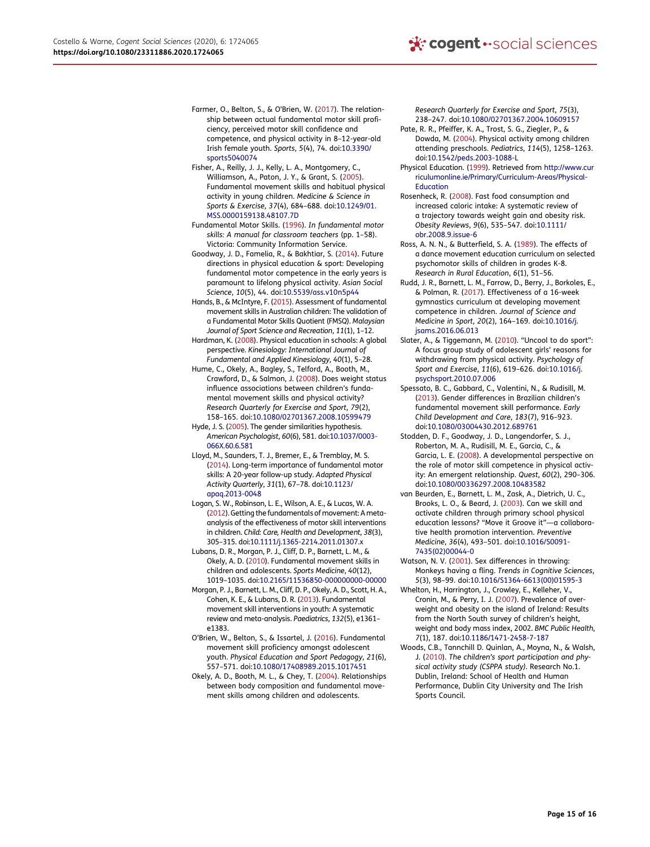- <span id="page-15-17"></span>Farmer, O., Belton, S., & O'Brien, W. ([2017](#page-3-2)). The relationship between actual fundamental motor skill proficiency, perceived motor skill confidence and competence, and physical activity in 8–12-year-old Irish female youth. Sports, 5(4), 74. doi:[10.3390/](https://doi.org/10.3390/sports5040074) [sports5040074](https://doi.org/10.3390/sports5040074)
- <span id="page-15-6"></span>Fisher, A., Reilly, J. J., Kelly, L. A., Montgomery, C., Williamson, A., Paton, J. Y., & Grant, S. [\(2005](#page-2-3)). Fundamental movement skills and habitual physical activity in young children. Medicine & Science in Sports & Exercise, 37(4), 684–688. doi:[10.1249/01.](https://doi.org/10.1249/01.MSS.0000159138.48107.7D) [MSS.0000159138.48107.7D](https://doi.org/10.1249/01.MSS.0000159138.48107.7D)
- <span id="page-15-21"></span>Fundamental Motor Skills. [\(1996](#page-4-0)). In fundamental motor skills: A manual for classroom teachers (pp. 1–58). Victoria: Community Information Service.
- <span id="page-15-22"></span>Goodway, J. D., Famelia, R., & Bakhtiar, S. ([2014\)](#page-11-1). Future directions in physical education & sport: Developing fundamental motor competence in the early years is paramount to lifelong physical activity. Asian Social Science, 10(5), 44. doi:[10.5539/ass.v10n5p44](https://doi.org/10.5539/ass.v10n5p44)
- <span id="page-15-1"></span>Hands, B., & McIntyre, F. [\(2015\)](#page-2-4). Assessment of fundamental movement skills in Australian children: The validation of a Fundamental Motor Skills Quotient (FMSQ). Malaysian Journal of Sport Science and Recreation, 11(1), 1–12.
- <span id="page-15-24"></span>Hardman, K. [\(2008\)](#page-13-3). Physical education in schools: A global perspective. Kinesiology: International Journal of Fundamental and Applied Kinesiology, 40(1), 5–28.
- <span id="page-15-8"></span>Hume, C., Okely, A., Bagley, S., Telford, A., Booth, M., Crawford, D., & Salmon, J. ([2008\)](#page-2-5). Does weight status influence associations between children's fundamental movement skills and physical activity? Research Quarterly for Exercise and Sport, 79(2), 158–165. doi:[10.1080/02701367.2008.10599479](https://doi.org/10.1080/02701367.2008.10599479)
- <span id="page-15-15"></span>Hyde, J. S. [\(2005](#page-3-3)). The gender similarities hypothesis. American Psychologist, 60(6), 581. doi:[10.1037/0003-](https://doi.org/10.1037/0003-066X.60.6.581) [066X.60.6.581](https://doi.org/10.1037/0003-066X.60.6.581)
- <span id="page-15-0"></span>Lloyd, M., Saunders, T. J., Bremer, E., & Tremblay, M. S. [\(2014\)](#page-2-6). Long-term importance of fundamental motor skills: A 20-year follow-up study. Adapted Physical Activity Quarterly, 31(1), 67–78. doi:[10.1123/](https://doi.org/10.1123/apaq.2013-0048) [apaq.2013-0048](https://doi.org/10.1123/apaq.2013-0048)
- <span id="page-15-20"></span>Logan, S. W., Robinson, L. E., Wilson, A. E., & Lucas, W. A. [\(2012\)](#page-4-1). Getting the fundamentals of movement: Ametaanalysis of the effectiveness of motor skill interventions in children. Child: Care, Health and Development, 38(3), 305–315. doi:[10.1111/j.1365-2214.2011.01307.x](https://doi.org/10.1111/j.1365-2214.2011.01307.x)
- <span id="page-15-3"></span>Lubans, D. R., Morgan, P. J., Cliff, D. P., Barnett, L. M., & Okely, A. D. ([2010](#page-2-7)). Fundamental movement skills in children and adolescents. Sports Medicine, 40(12), 1019–1035. doi:[10.2165/11536850-000000000-00000](https://doi.org/10.2165/11536850-000000000-00000)
- <span id="page-15-19"></span>Morgan, P. J., Barnett, L. M., Cliff, D. P., Okely, A. D., Scott, H. A., Cohen, K. E., & Lubans, D. R. [\(2013\)](#page-4-2). Fundamental movement skill interventions in youth: A systematic review and meta-analysis. Paediatrics, 132(5), e1361– e1383.
- <span id="page-15-12"></span>O'Brien, W., Belton, S., & Issartel, J. ([2016\)](#page-3-1). Fundamental movement skill proficiency amongst adolescent youth. Physical Education and Sport Pedagogy, 21(6), 557–571. doi:[10.1080/17408989.2015.1017451](https://doi.org/10.1080/17408989.2015.1017451)
- <span id="page-15-2"></span>Okely, A. D., Booth, M. L., & Chey, T. [\(2004](#page-2-8)). Relationships between body composition and fundamental movement skills among children and adolescents.

Research Quarterly for Exercise and Sport, 75(3), 238–247. doi:[10.1080/02701367.2004.10609157](https://doi.org/10.1080/02701367.2004.10609157)

- <span id="page-15-14"></span>Pate, R. R., Pfeiffer, K. A., Trost, S. G., Ziegler, P., & Dowda, M. [\(2004](#page-3-4)). Physical activity among children attending preschools. Pediatrics, 114(5), 1258–1263. doi:[10.1542/peds.2003-1088-L](https://doi.org/10.1542/peds.2003-1088-L)
- <span id="page-15-9"></span>Physical Education. ([1999\)](#page-2-9). Retrieved from [http://www.cur](http://www.curriculumonline.ie/Primary/Curriculum-Areas/Physical-Education) [riculumonline.ie/Primary/Curriculum-Areas/Physical-](http://www.curriculumonline.ie/Primary/Curriculum-Areas/Physical-Education)[Education](http://www.curriculumonline.ie/Primary/Curriculum-Areas/Physical-Education)
- <span id="page-15-5"></span>Rosenheck, R. ([2008\)](#page-2-10). Fast food consumption and increased caloric intake: A systematic review of a trajectory towards weight gain and obesity risk. Obesity Reviews, 9(6), 535–547. doi:[10.1111/](https://doi.org/10.1111/obr.2008.9.issue-6) [obr.2008.9.issue-6](https://doi.org/10.1111/obr.2008.9.issue-6)
- <span id="page-15-10"></span>Ross, A. N. N., & Butterfield, S. A. [\(1989](#page-2-11)). The effects of a dance movement education curriculum on selected psychomotor skills of children in grades K-8. Research in Rural Education, 6(1), 51–56.
- <span id="page-15-11"></span>Rudd, J. R., Barnett, L. M., Farrow, D., Berry, J., Borkoles, E., & Polman, R. ([2017\)](#page-3-5). Effectiveness of a 16-week gymnastics curriculum at developing movement competence in children. Journal of Science and Medicine in Sport, 20(2), 164–169. doi:[10.1016/j.](https://doi.org/10.1016/j.jsams.2016.06.013) [jsams.2016.06.013](https://doi.org/10.1016/j.jsams.2016.06.013)
- <span id="page-15-23"></span>Slater, A., & Tiggemann, M. [\(2010](#page-11-1)). "Uncool to do sport": A focus group study of adolescent girls' reasons for withdrawing from physical activity. Psychology of Sport and Exercise, 11(6), 619–626. doi:[10.1016/j.](https://doi.org/10.1016/j.psychsport.2010.07.006) [psychsport.2010.07.006](https://doi.org/10.1016/j.psychsport.2010.07.006)
- <span id="page-15-13"></span>Spessato, B. C., Gabbard, C., Valentini, N., & Rudisill, M. ([2013\)](#page-3-6). Gender differences in Brazilian children's fundamental movement skill performance. Early Child Development and Care, 183(7), 916–923. doi:[10.1080/03004430.2012.689761](https://doi.org/10.1080/03004430.2012.689761)
- <span id="page-15-25"></span>Stodden, D. F., Goodway, J. D., Langendorfer, S. J., Roberton, M. A., Rudisill, M. E., Garcia, C., & Garcia, L. E. [\(2008](#page-13-4)). A developmental perspective on the role of motor skill competence in physical activity: An emergent relationship. Quest, 60(2), 290–306. doi:[10.1080/00336297.2008.10483582](https://doi.org/10.1080/00336297.2008.10483582)
- <span id="page-15-18"></span>van Beurden, E., Barnett, L. M., Zask, A., Dietrich, U. C., Brooks, L. O., & Beard, J. ([2003\)](#page-3-7). Can we skill and activate children through primary school physical education lessons? "Move it Groove it"—a collaborative health promotion intervention. Preventive Medicine, 36(4), 493–501. doi:[10.1016/S0091-](https://doi.org/10.1016/S0091-7435(02)00044-0) [7435\(02\)00044-0](https://doi.org/10.1016/S0091-7435(02)00044-0)
- <span id="page-15-16"></span>Watson, N. V. [\(2001](#page-3-8)). Sex differences in throwing: Monkeys having a fling. Trends in Cognitive Sciences, 5(3), 98–99. doi:[10.1016/S1364-6613\(00\)01595-3](https://doi.org/10.1016/S1364-6613(00)01595-3)
- <span id="page-15-4"></span>Whelton, H., Harrington, J., Crowley, E., Kelleher, V., Cronin, M., & Perry, I. J. ([2007\)](#page-2-12). Prevalence of overweight and obesity on the island of Ireland: Results from the North South survey of children's height, weight and body mass index, 2002. BMC Public Health, 7(1), 187. doi:[10.1186/1471-2458-7-187](https://doi.org/10.1186/1471-2458-7-187)
- <span id="page-15-7"></span>Woods, C.B., Tannchill D. Quinlan, A., Moyna, N., & Walsh, J. ([2010\)](#page-2-13). The children's sport participation and physical activity study (CSPPA study). Research No.1. Dublin, Ireland: School of Health and Human Performance, Dublin City University and The Irish Sports Council.